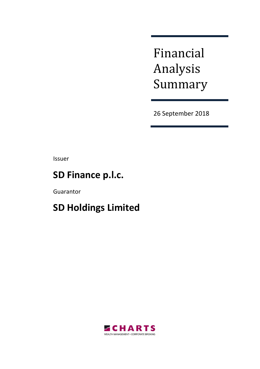Financial Analysis Summary

26 September 2018

Issuer

# **SD Finance p.l.c.**

Guarantor

# **SD Holdings Limited**

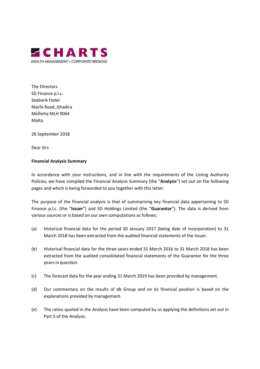

The Directors SD Finance p.l.c. Seabank Hotel Marfa Road, Ghadira Mellieha MLH 9064 Malta

26 September 2018

Dear Sirs

#### **Financial Analysis Summary**

In accordance with your instructions, and in line with the requirements of the Listing Authority Policies, we have compiled the Financial Analysis Summary (the "**Analysis**") set out on the following pages and which is being forwarded to you together with this letter.

The purpose of the financial analysis is that of summarising key financial data appertaining to SD Finance p.l.c. (the "**Issuer**") and SD Holdings Limited (the "**Guarantor**"). The data is derived from various sources or is based on our own computations as follows:

- (a) Historical financial data for the period 20 January 2017 (being date of incorporation) to 31 March 2018 has been extracted from the audited financial statements of the Issuer.
- (b) Historical financial data for the three years ended 31 March 2016 to 31 March 2018 has been extracted from the audited consolidated financial statements of the Guarantor for the three years in question.
- (c) The forecast data for the year ending 31 March 2019 has been provided by management.
- (d) Our commentary on the results of db Group and on its financial position is based on the explanations provided by management.
- (e) The ratios quoted in the Analysis have been computed by us applying the definitions set out in Part 5 of the Analysis.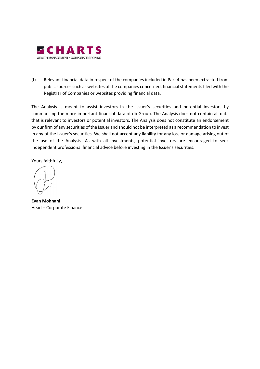

(f) Relevant financial data in respect of the companies included in Part 4 has been extracted from public sources such as websites of the companies concerned, financial statements filed with the Registrar of Companies or websites providing financial data.

The Analysis is meant to assist investors in the Issuer's securities and potential investors by summarising the more important financial data of db Group. The Analysis does not contain all data that is relevant to investors or potential investors. The Analysis does not constitute an endorsement by our firm of any securities of the Issuer and should not be interpreted as a recommendation to invest in any of the Issuer's securities. We shall not accept any liability for any loss or damage arising out of the use of the Analysis. As with all investments, potential investors are encouraged to seek independent professional financial advice before investing in the Issuer's securities.

Yours faithfully,

**Evan Mohnani**  Head – Corporate Finance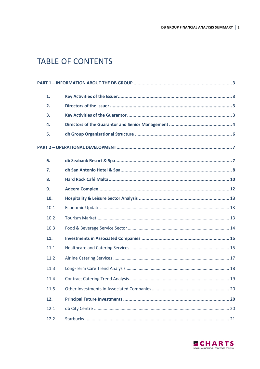## **TABLE OF CONTENTS**

| 1.   |  |
|------|--|
| 2.   |  |
| 3.   |  |
| 4.   |  |
| 5.   |  |
|      |  |
| 6.   |  |
| 7.   |  |
| 8.   |  |
| 9.   |  |
| 10.  |  |
| 10.1 |  |
| 10.2 |  |
| 10.3 |  |
| 11.  |  |
| 11.1 |  |
| 11.2 |  |
| 11.3 |  |
| 11.4 |  |
| 11.5 |  |
| 12.  |  |
| 12.1 |  |
| 12.2 |  |

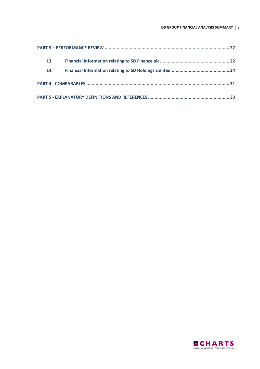| 13. |  |
|-----|--|
| 14. |  |
|     |  |
|     |  |

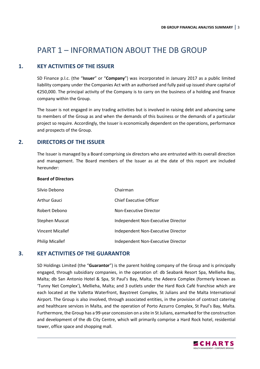## PART 1 – INFORMATION ABOUT THE DB GROUP

## **1. KEY ACTIVITIES OF THE ISSUER**

SD Finance p.l.c. (the "**Issuer**" or "**Company**") was incorporated in January 2017 as a public limited liability company under the Companies Act with an authorised and fully paid up issued share capital of €250,000. The principal activity of the Company is to carry on the business of a holding and finance company within the Group.

The Issuer is not engaged in any trading activities but is involved in raising debt and advancing same to members of the Group as and when the demands of this business or the demands of a particular project so require. Accordingly, the Issuer is economically dependent on the operations, performance and prospects of the Group.

### **2. DIRECTORS OF THE ISSUER**

The Issuer is managed by a Board comprising six directors who are entrusted with its overall direction and management. The Board members of the Issuer as at the date of this report are included hereunder:

#### **Board of Directors**

| Silvio Debono          | Chairman                           |
|------------------------|------------------------------------|
| <b>Arthur Gauci</b>    | Chief Executive Officer            |
| Robert Debono          | Non-Executive Director             |
| Stephen Muscat         | Independent Non-Executive Director |
| Vincent Micallef       | Independent Non-Executive Director |
| <b>Philip Micallef</b> | Independent Non-Executive Director |

#### **3. KEY ACTIVITIES OF THE GUARANTOR**

SD Holdings Limited (the "**Guarantor**") is the parent holding company of the Group and is principally engaged, through subsidiary companies, in the operation of: db Seabank Resort Spa, Mellieha Bay, Malta; db San Antonio Hotel & Spa, St Paul's Bay, Malta; the Adeera Complex (formerly known as 'Tunny Net Complex'), Mellieha, Malta; and 3 outlets under the Hard Rock Café franchise which are each located at the Valletta Waterfront, Baystreet Complex, St Julians and the Malta International Airport. The Group is also involved, through associated entities, in the provision of contract catering and healthcare services in Malta, and the operation of Porto Azzurro Complex, St Paul's Bay, Malta. Furthermore, the Group has a 99-year concession on a site in St Julians, earmarked for the construction and development of the db City Centre, which will primarily comprise a Hard Rock hotel, residential tower, office space and shopping mall.

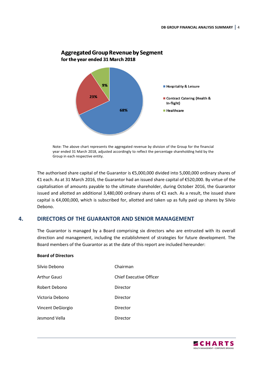

### **Aggregated Group Revenue by Segment** for the year ended 31 March 2018

Note: The above chart represents the aggregated revenue by division of the Group for the financial year ended 31 March 2018, adjusted accordingly to reflect the percentage shareholding held by the Group in each respective entity.

The authorised share capital of the Guarantor is €5,000,000 divided into 5,000,000 ordinary shares of €1 each. As at 31 March 2016, the Guarantor had an issued share capital of €520,000. By virtue of the capitalisation of amounts payable to the ultimate shareholder, during October 2016, the Guarantor issued and allotted an additional 3,480,000 ordinary shares of €1 each. As a result, the issued share capital is €4,000,000, which is subscribed for, allotted and taken up as fully paid up shares by Silvio Debono.

## **4. DIRECTORS OF THE GUARANTOR AND SENIOR MANAGEMENT**

The Guarantor is managed by a Board comprising six directors who are entrusted with its overall direction and management, including the establishment of strategies for future development. The Board members of the Guarantor as at the date of this report are included hereunder:

#### **Board of Directors**

| Silvio Debono       | Chairman                |
|---------------------|-------------------------|
| <b>Arthur Gauci</b> | Chief Executive Officer |
| Robert Debono       | Director                |
| Victoria Debono     | Director                |
| Vincent DeGiorgio   | Director                |
| Jesmond Vella       | Director                |

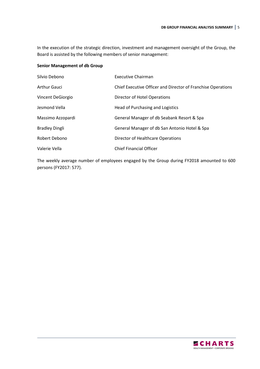In the execution of the strategic direction, investment and management oversight of the Group, the Board is assisted by the following members of senior management:

#### **Senior Management of db Group**

| Silvio Debono         | Executive Chairman                                           |
|-----------------------|--------------------------------------------------------------|
| <b>Arthur Gauci</b>   | Chief Executive Officer and Director of Franchise Operations |
| Vincent DeGiorgio     | Director of Hotel Operations                                 |
| Jesmond Vella         | Head of Purchasing and Logistics                             |
| Massimo Azzopardi     | General Manager of db Seabank Resort & Spa                   |
| <b>Bradley Dingli</b> | General Manager of db San Antonio Hotel & Spa                |
| Robert Debono         | Director of Healthcare Operations                            |
| Valerie Vella         | <b>Chief Financial Officer</b>                               |

The weekly average number of employees engaged by the Group during FY2018 amounted to 600 persons (FY2017: 577).

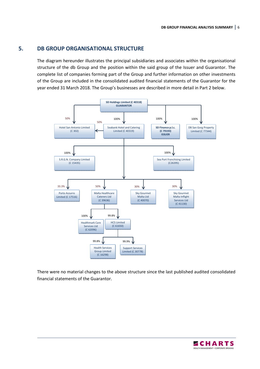## **5. DB GROUP ORGANISATIONAL STRUCTURE**

The diagram hereunder illustrates the principal subsidiaries and associates within the organisational structure of the db Group and the position within the said group of the Issuer and Guarantor. The complete list of companies forming part of the Group and further information on other investments of the Group are included in the consolidated audited financial statements of the Guarantor for the year ended 31 March 2018. The Group's businesses are described in more detail in Part 2 below.



There were no material changes to the above structure since the last published audited consolidated financial statements of the Guarantor.

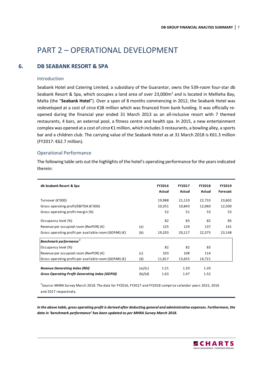## PART 2 – OPERATIONAL DEVELOPMENT

## **6. DB SEABANK RESORT & SPA**

#### Introduction

Seabank Hotel and Catering Limited, a subsidiary of the Guarantor, owns the 539-room four-star db Seabank Resort & Spa, which occupies a land area of over 23,000 $m<sup>2</sup>$  and is located in Mellieha Bay, Malta (the "**Seabank Hotel**"). Over a span of 8 months commencing in 2012, the Seabank Hotel was redeveloped at a cost of *circa* €38 million which was financed from bank funding. It was officially reopened during the financial year ended 31 March 2013 as an all-inclusive resort with 7 themed restaurants, 4 bars, an external pool, a fitness centre and health spa. In 2015, a new entertainment complex was opened at a cost of *circa* €1 million, which includes 3 restaurants, a bowling alley, a sports bar and a children club. The carrying value of the Seabank Hotel as at 31 March 2018 is €61.3 million (FY2017: €62.7 million).

#### Operational Performance

The following table sets out the highlights of the hotel's operating performance for the years indicated therein:

| db Seabank Resort & Spa                                                                         |                    | FY2016<br>Actual | FY2017<br>Actual | <b>FY2018</b><br>Actual | FY2019<br>Forecast |
|-------------------------------------------------------------------------------------------------|--------------------|------------------|------------------|-------------------------|--------------------|
| Turnover (€'000)                                                                                |                    | 19,988           | 21,110           | 22,733                  | 23,602             |
| Gross operating profit/EBITDA ( $\epsilon$ '000)                                                |                    | 10,351           | 10,843           | 12,060                  | 12,500             |
| Gross operating profit margin (%)                                                               |                    | 52               | 51               | 53                      | 53                 |
| Occupancy level (%)                                                                             |                    | 82               | 83               | 82                      | 85                 |
| Revenue per occupied room (RevPOR) $(\epsilon)$                                                 | (a)                | 125              | 129              | 137                     | 141                |
| Gross operating profit per available room (GOPAR) $(\epsilon)$                                  | (b)                | 19,203           | 20,117           | 22,375                  | 23,148             |
| Benchmark performance <sup>1</sup>                                                              |                    |                  |                  |                         |                    |
| Occupancy level (%)                                                                             |                    | 82               | 82               | 83                      |                    |
| Revenue per occupied room (RevPOR) $(\epsilon)$                                                 | (c)                | 103              | 108              | 114                     |                    |
| Gross operating profit per available room (GOPAR) $(\epsilon)$                                  | (d)                | 11,817           | 13,655           | 14,721                  |                    |
| <b>Revenue Generating Index (RGI)</b><br><b>Gross Operating Profit Generating Index (GOPGI)</b> | (a)/(c)<br>(b)/(d) | 1.21<br>1.63     | 1.20<br>1.47     | 1.20<br>1.52            |                    |

 $^{\rm 1}$ Source: MHRA Survey March 2018. The data for FY2016, FY2017 and FY2018 comprise calendar years 2015, 2016 and 2017 respectively.

*In the above table, gross operating profit is derived after deducting general and administrative expenses. Furthermore, the data in 'benchmark performance' has been updated as per MHRA Survey March 2018.* 

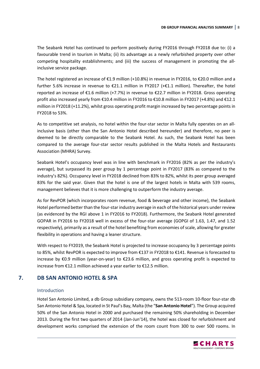The Seabank Hotel has continued to perform positively during FY2016 through FY2018 due to: (i) a favourable trend in tourism in Malta; (ii) its advantage as a newly refurbished property over other competing hospitality establishments; and (iii) the success of management in promoting the allinclusive service package.

The hotel registered an increase of €1.9 million (+10.8%) in revenue in FY2016, to €20.0 million and a further 5.6% increase in revenue to €21.1 million in FY2017 (+€1.1 million). Thereafter, the hotel reported an increase of €1.6 million (+7.7%) in revenue to €22.7 million in FY2018. Gross operating profit also increased yearly from €10.4 million in FY2016 to €10.8 million in FY2017 (+4.8%) and €12.1 million in FY2018 (+11.2%), whilst gross operating profit margin increased by two percentage points in FY2018 to 53%.

As to competitive set analysis, no hotel within the four-star sector in Malta fully operates on an allinclusive basis (other than the San Antonio Hotel described hereunder) and therefore, no peer is deemed to be directly comparable to the Seabank Hotel. As such, the Seabank Hotel has been compared to the average four-star sector results published in the Malta Hotels and Restaurants Association (MHRA) Survey.

Seabank Hotel's occupancy level was in line with benchmark in FY2016 (82% as per the industry's average), but surpassed its peer group by 1 percentage point in FY2017 (83% as compared to the industry's 82%). Occupancy level in FY2018 declined from 83% to 82%, whilst its peer group averaged 83% for the said year. Given that the hotel is one of the largest hotels in Malta with 539 rooms, management believes that it is more challenging to outperform the industry average.

As for RevPOR (which incorporates room revenue, food & beverage and other income), the Seabank Hotel performed better than the four-star industry average in each of the historical years under review (as evidenced by the RGI above 1 in FY2016 to FY2018). Furthermore, the Seabank Hotel generated GOPAR in FY2016 to FY2018 well in excess of the four-star average (GOPGI of 1.63, 1.47, and 1.52 respectively), primarily as a result of the hotel benefiting from economies of scale, allowing for greater flexibility in operations and having a leaner structure.

With respect to FY2019, the Seabank Hotel is projected to increase occupancy by 3 percentage points to 85%, whilst RevPOR is expected to improve from €137 in FY2018 to €141. Revenue is forecasted to increase by €0.9 million (year-on-year) to €23.6 million, and gross operating profit is expected to increase from €12.1 million achieved a year earlier to €12.5 million.

## **7. DB SAN ANTONIO HOTEL & SPA**

#### Introduction

Hotel San Antonio Limited, a db Group subsidiary company, owns the 513-room 10-floor four-star db San Antonio Hotel & Spa, located in St Paul's Bay, Malta (the "**San Antonio Hotel**"). The Group acquired 50% of the San Antonio Hotel in 2000 and purchased the remaining 50% shareholding in December 2013. During the first two quarters of 2014 (Jan-Jun'14), the hotel was closed for refurbishment and development works comprised the extension of the room count from 300 to over 500 rooms. In

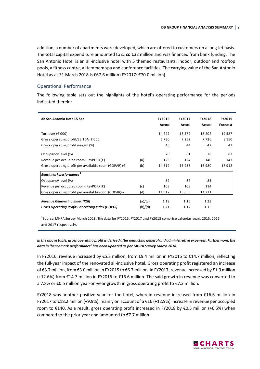addition, a number of apartments were developed, which are offered to customers on a long-let basis. The total capital expenditure amounted to *circa* €32 million and was financed from bank funding. The San Antonio Hotel is an all-inclusive hotel with 5 themed restaurants, indoor, outdoor and rooftop pools, a fitness centre, a Hammam spa and conference facilities. The carrying value of the San Antonio Hotel as at 31 March 2018 is €67.6 million (FY2017: €70.0 million).

#### Operational Performance

The following table sets out the highlights of the hotel's operating performance for the periods indicated therein:

| db San Antonio Hotel & Spa                                     |         | <b>FY2016</b><br>Actual | <b>FY2017</b><br>Actual | <b>FY2018</b><br>Actual | <b>FY2019</b><br>Forecast |
|----------------------------------------------------------------|---------|-------------------------|-------------------------|-------------------------|---------------------------|
| Turnover (€'000)                                               |         | 14,727                  | 16,579                  | 18,202                  | 19,587                    |
| Gross operating profit/EBITDA ( $\epsilon$ '000)               |         | 6,730                   | 7,252                   | 7,726                   | 8,150                     |
| Gross operating profit margin (%)                              |         | 46                      | 44                      | 42                      | 42                        |
| Occupancy level (%)                                            |         | 70                      | 81                      | 78                      | 83                        |
| Revenue per occupied room (RevPOR) $(\epsilon)$                | (a)     | 123                     | 124                     | 140                     | 143                       |
| Gross operating profit per available room (GOPAR) $(\epsilon)$ | (b)     | 14,319                  | 15,938                  | 16,980                  | 17,912                    |
| Benchmark performance <sup>1</sup>                             |         |                         |                         |                         |                           |
| Occupancy level (%)                                            |         | 82                      | 82                      | 83                      |                           |
| Revenue per occupied room (RevPOR) (€)                         | (c)     | 103                     | 108                     | 114                     |                           |
| Gross operating profit per available room (GOPAR) $(\epsilon)$ | (d)     | 11,817                  | 13,655                  | 14,721                  |                           |
| <b>Revenue Generating Index (RGI)</b>                          | (a)/(c) | 1.19                    | 1.15                    | 1.23                    |                           |
| <b>Gross Operating Profit Generating Index (GOPGI)</b>         | (b)/(d) | 1.21                    | 1.17                    | 1.15                    |                           |

 $^{\rm 1}$ Source: MHRA Survey March 2018. The data for FY2016, FY2017 and FY2018 comprise calendar years 2015, 2016 and 2017 respectively.

*In the above table, gross operating profit is derived after deducting general and administrative expenses. Furthermore, the data in 'benchmark performance' has been updated as per MHRA Survey March 2018.* 

In FY2016, revenue increased by €5.3 million, from €9.4 million in FY2015 to €14.7 million, reflecting the full-year impact of the renovated all-inclusive hotel. Gross operating profit registered an increase of €3.7 million, from €3.0 million in FY2015 to €6.7 million. In FY2017, revenue increased by €1.9 million (+12.6%) from €14.7 million in FY2016 to €16.6 million. The said growth in revenue was converted to a 7.8% or €0.5 million year-on-year growth in gross operating profit to €7.3 million.

FY2018 was another positive year for the hotel, wherein revenue increased from €16.6 million in FY2017 to €18.2 million (+9.9%), mainly on account of a €16 (+12.9%) increase in revenue per occupied room to €140. As a result, gross operating profit increased in FY2018 by €0.5 million (+6.5%) when compared to the prior year and amounted to €7.7 million.

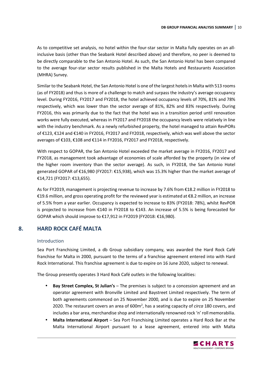As to competitive set analysis, no hotel within the four-star sector in Malta fully operates on an allinclusive basis (other than the Seabank Hotel described above) and therefore, no peer is deemed to be directly comparable to the San Antonio Hotel. As such, the San Antonio Hotel has been compared to the average four-star sector results published in the Malta Hotels and Restaurants Association (MHRA) Survey.

Similar to the Seabank Hotel, the San Antonio Hotel is one of the largest hotels in Malta with 513 rooms (as of FY2018) and thus is more of a challenge to match and surpass the industry's average occupancy level. During FY2016, FY2017 and FY2018, the hotel achieved occupancy levels of 70%, 81% and 78% respectively, which was lower than the sector average of 81%, 82% and 83% respectively. During FY2016, this was primarily due to the fact that the hotel was in a transition period until renovation works were fully executed, whereas in FY2017 and FY2018 the occupancy levels were relatively in line with the industry benchmark. As a newly refurbished property, the hotel managed to attain RevPORs of €123, €124 and €140 in FY2016, FY2017 and FY2018, respectively, which was well above the sector averages of €103, €108 and €114 in FY2016, FY2017 and FY2018, respectively.

With respect to GOPAR, the San Antonio Hotel exceeded the market average in FY2016, FY2017 and FY2018, as management took advantage of economies of scale afforded by the property (in view of the higher room inventory than the sector average). As such, in FY2018, the San Antonio Hotel generated GOPAR of €16,980 (FY2017: €15,938), which was 15.3% higher than the market average of €14,721 (FY2017: €13,655).

As for FY2019, management is projecting revenue to increase by 7.6% from €18.2 million in FY2018 to €19.6 million, and gross operating profit for the reviewed year is estimated at €8.2 million, an increase of 5.5% from a year earlier. Occupancy is expected to increase to 83% (FY2018: 78%), whilst RevPOR is projected to increase from €140 in FY2018 to €143. An increase of 5.5% is being forecasted for GOPAR which should improve to €17,912 in FY2019 (FY2018: €16,980).

## **8. HARD ROCK CAFÉ MALTA**

#### Introduction

Sea Port Franchising Limited, a db Group subsidiary company, was awarded the Hard Rock Café franchise for Malta in 2000, pursuant to the terms of a franchise agreement entered into with Hard Rock International. This franchise agreement is due to expire on 16 June 2020, subject to renewal.

The Group presently operates 3 Hard Rock Café outlets in the following localities:

- **Bay Street Complex, St Julian's** The premises is subject to a concession agreement and an operator agreement with Bronville Limited and Baystreet Limited respectively. The term of both agreements commenced on 25 November 2000, and is due to expire on 25 November 2020. The restaurant covers an area of 600m<sup>2</sup>, has a seating capacity of *circa* 180 covers, and includes a bar area, merchandise shop and internationally renowned rock 'n' roll memorabilia.
- **Malta International Airport**  Sea Port Franchising Limited operates a Hard Rock Bar at the Malta International Airport pursuant to a lease agreement, entered into with Malta

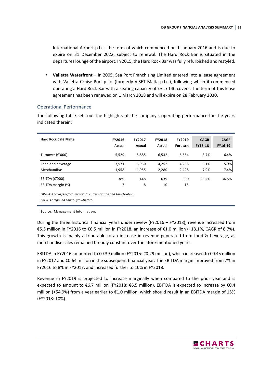International Airport p.l.c., the term of which commenced on 1 January 2016 and is due to expire on 31 December 2022, subject to renewal. The Hard Rock Bar is situated in the departures lounge of the airport. In 2015, the Hard Rock Bar was fully refurbished and restyled.

• **Valletta Waterfront** – In 2005, Sea Port Franchising Limited entered into a lease agreement with Valletta Cruise Port p.l.c. (formerly VISET Malta p.l.c.), following which it commenced operating a Hard Rock Bar with a seating capacity of *circa* 140 covers. The term of this lease agreement has been renewed on 1 March 2018 and will expire on 28 February 2030.

#### Operational Performance

The following table sets out the highlights of the company's operating performance for the years indicated therein:

| Hard Rock Café Malta      | FY2016<br>Actual | FY2017<br>Actual | <b>FY2018</b><br>Actual | FY2019<br>Forecast | <b>CAGR</b><br>FY16-18 | <b>CAGR</b><br>FY16-19 |
|---------------------------|------------------|------------------|-------------------------|--------------------|------------------------|------------------------|
| Turnover (€'000)          | 5,529            | 5,885            | 6,532                   | 6,664              | 8.7%                   | 6.4%                   |
| Food and beverage         | 3,571            | 3,930            | 4,252                   | 4,236              | 9.1%                   | 5.9%                   |
| Merchandise               | 1,958            | 1,955            | 2,280                   | 2,428              | 7.9%                   | 7.4%                   |
| EBITDA ( $\epsilon$ '000) | 389              | 448              | 639                     | 990                | 28.2%                  | 36.5%                  |
| EBITDA margin (%)         |                  | 8                | 10                      | 15                 |                        |                        |

*EBITDA - Earnings before Interest, Tax, Depreciation and Amortisation.*

*CAGR - Compound annual growth rate.*

Source: Ma nagement information.

During the three historical financial years under review (FY2016 – FY2018), revenue increased from €5.5 million in FY2016 to €6.5 million in FY2018, an increase of €1.0 million (+18.1%, CAGR of 8.7%). This growth is mainly attributable to an increase in revenue generated from food & beverage, as merchandise sales remained broadly constant over the afore-mentioned years.

EBITDA in FY2016 amounted to €0.39 million (FY2015: €0.29 million), which increased to €0.45 million in FY2017 and €0.64 million in the subsequent financial year. The EBITDA margin improved from 7% in FY2016 to 8% in FY2017, and increased further to 10% in FY2018.

Revenue in FY2019 is projected to increase marginally when compared to the prior year and is expected to amount to €6.7 million (FY2018: €6.5 million). EBITDA is expected to increase by €0.4 million (+54.9%) from a year earlier to €1.0 million, which should result in an EBITDA margin of 15% (FY2018: 10%).

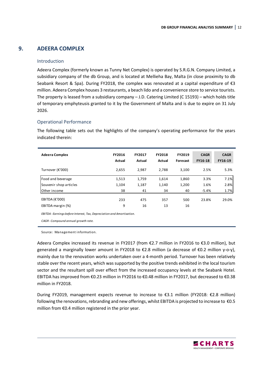## **9. ADEERA COMPLEX**

#### Introduction

Adeera Complex (formerly known as Tunny Net Complex) is operated by S.R.G.N. Company Limited, a subsidiary company of the db Group, and is located at Mellieha Bay, Malta (in close proximity to db Seabank Resort & Spa). During FY2018, the complex was renovated at a capital expenditure of €3 million. Adeera Complex houses 3 restaurants, a beach lido and a convenience store to service tourists. The property is leased from a subsidiary company – J.D. Catering Limited (C 15193) – which holds title of temporary emphyteusis granted to it by the Government of Malta and is due to expire on 31 July 2026.

#### Operational Performance

The following table sets out the highlights of the company's operating performance for the years indicated therein:

| <b>Adeera Complex</b>     | FY2016<br><b>Actual</b> | FY2017<br><b>Actual</b> | <b>FY2018</b><br>Actual | FY2019<br>Forecast | <b>CAGR</b><br><b>FY16-18</b> | <b>CAGR</b><br>FY16-19 |
|---------------------------|-------------------------|-------------------------|-------------------------|--------------------|-------------------------------|------------------------|
| Turnover (€'000)          | 2,655                   | 2,987                   | 2.788                   | 3.100              | 2.5%                          | 5.3%                   |
| Food and beverage         | 1,513                   | 1,759                   | 1,614                   | 1,860              | 3.3%                          | 7.1%                   |
| Souvenir shop articles    | 1,104                   | 1,187                   | 1,140                   | 1,200              | 1.6%                          | 2.8%                   |
| Other income              | 38                      | 41                      | 34                      | 40                 | $-5.4%$                       | 1.7%                   |
| EBITDA ( $\epsilon$ '000) | 233                     | 475                     | 357                     | 500                | 23.8%                         | 29.0%                  |
| EBITDA margin (%)         | 9                       | 16                      | 13                      | 16                 |                               |                        |

*EBITDA - Earnings before Interest, Tax, Depreciation and Amortisation.*

*CAGR - Compound annual growth rate.*

Source: Management information.

Adeera Complex increased its revenue in FY2017 (from €2.7 million in FY2016 to €3.0 million), but generated a marginally lower amount in FY2018 to €2.8 million (a decrease of €0.2 million y-o-y), mainly due to the renovation works undertaken over a 4-month period. Turnover has been relatively stable over the recent years, which was supported by the positive trends exhibited in the local tourism sector and the resultant spill over effect from the increased occupancy levels at the Seabank Hotel. EBITDA has improved from €0.23 million in FY2016 to €0.48 million in FY2017, but decreased to €0.38 million in FY2018.

During FY2019, management expects revenue to increase to €3.1 million (FY2018: €2.8 million) following the renovations, rebranding and new offerings, whilst EBITDA is projected to increase to €0.5 million from €0.4 million registered in the prior year.

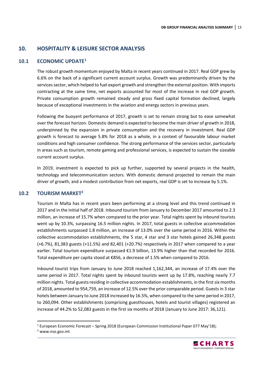## **10. HOSPITALITY & LEISURE SECTOR ANALYSIS**

#### **10.1 ECONOMIC UPDATE<sup>1</sup>**

The robust growth momentum enjoyed by Malta in recent years continued in 2017. Real GDP grew by 6.6% on the back of a significant current account surplus. Growth was predominantly driven by the services sector, which helped to fuel export growth and strengthen the external position. With imports contracting at the same time, net exports accounted for most of the increase in real GDP growth. Private consumption growth remained steady and gross fixed capital formation declined, largely because of exceptional investments in the aviation and energy sectors in previous years.

Following the buoyant performance of 2017, growth is set to remain strong but to ease somewhat over the forecast horizon. Domestic demand is expected to become the main driver of growth in 2018, underpinned by the expansion in private consumption and the recovery in investment. Real GDP growth is forecast to average 5.8% for 2018 as a whole, in a context of favourable labour market conditions and high consumer confidence. The strong performance of the services sector, particularly in areas such as tourism, remote gaming and professional services, is expected to sustain the sizeable current account surplus.

In 2019, investment is expected to pick up further, supported by several projects in the health, technology and telecommunication sectors. With domestic demand projected to remain the main driver of growth, and a modest contribution from net exports, real GDP is set to increase by 5.1%.

#### **10.2 TOURISM MARKET<sup>2</sup>**

Tourism in Malta has in recent years been performing at a strong level and this trend continued in 2017 and in the initial half of 2018. Inbound tourism from January to December 2017 amounted to 2.3 million, an increase of 15.7% when compared to the prior year. Total nights spent by inbound tourists went up by 10.3%, surpassing 16.5 million nights. In 2017, total guests in collective accommodation establishments surpassed 1.8 million, an increase of 13.0% over the same period in 2016. Within the collective accommodation establishments, the 5 star, 4 star and 3 star hotels gained 26,348 guests (+6.7%), 81,383 guests (+11.5%) and 82,401 (+20.7%) respectively in 2017 when compared to a year earlier. Total tourism expenditure surpassed €1.9 billion, 13.9% higher than that recorded for 2016. Total expenditure per capita stood at €856, a decrease of 1.5% when compared to 2016.

Inbound tourist trips from January to June 2018 reached 1,162,344, an increase of 17.4% over the same period in 2017. Total nights spent by inbound tourists went up by 17.8%, reaching nearly 7.7 million nights. Total guests residing in collective accommodation establishments, in the first six months of 2018, amounted to 954,759, an increase of 12.5% over the prior comparable period. Guests in 3 star hotels between January to June 2018 increased by 16.5%, when compared to the same period in 2017, to 260,094. Other establishments (comprising guesthouses, hotels and tourist villages) registered an increase of 44.2% to 52,083 guests in the first six months of 2018 (January to June 2017: 36,121).

l



<sup>&</sup>lt;sup>1</sup> European Economic Forecast – Spring 2018 (European Commission Institutional Paper 077 May'18);

<sup>&</sup>lt;sup>2</sup> www.nso.gov.mt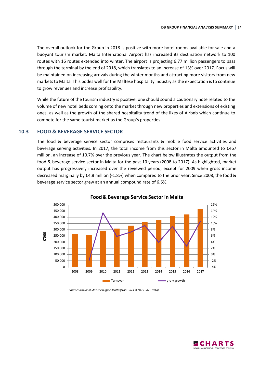The overall outlook for the Group in 2018 is positive with more hotel rooms available for sale and a buoyant tourism market. Malta International Airport has increased its destination network to 100 routes with 16 routes extended into winter. The airport is projecting 6.77 million passengers to pass through the terminal by the end of 2018, which translates to an increase of 13% over 2017. Focus will be maintained on increasing arrivals during the winter months and attracting more visitors from new markets to Malta. This bodes well for the Maltese hospitality industry as the expectation is to continue to grow revenues and increase profitability.

While the future of the tourism industry is positive, one should sound a cautionary note related to the volume of new hotel beds coming onto the market through new properties and extensions of existing ones, as well as the growth of the shared hospitality trend of the likes of Airbnb which continue to compete for the same tourist market as the Group's properties.

### **10.3 FOOD & BEVERAGE SERVICE SECTOR**

The food & beverage service sector comprises restaurants & mobile food service activities and beverage serving activities. In 2017, the total income from this sector in Malta amounted to €467 million, an increase of 10.7% over the previous year. The chart below illustrates the output from the food & beverage service sector in Malta for the past 10 years (2008 to 2017). As highlighted, market output has progressively increased over the reviewed period, except for 2009 when gross income decreased marginally by €4.8 million (-1.8%) when compared to the prior year. Since 2008, the food & beverage service sector grew at an annual compound rate of 6.6%.



#### **Food & Beverage Service Sector in Malta**

*Source: National Statistics Office Malta (NACE 56.1 & NACE 56.3 data)*

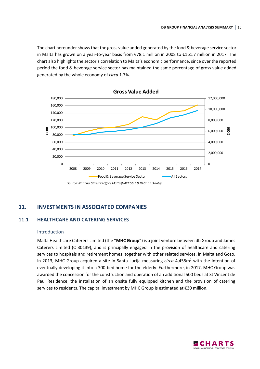The chart hereunder shows that the gross value added generated by the food & beverage service sector in Malta has grown on a year-to-year basis from €78.1 million in 2008 to €161.7 million in 2017. The chart also highlights the sector's correlation to Malta's economic performance, since over the reported period the food & beverage service sector has maintained the same percentage of gross value added generated by the whole economy of *circa* 1.7%.



## **11. INVESTMENTS IN ASSOCIATED COMPANIES**

## **11.1 HEALTHCARE AND CATERING SERVICES**

#### Introduction

Malta Healthcare Caterers Limited (the "**MHC Group**") is a joint venture between db Group and James Caterers Limited (C 30139), and is principally engaged in the provision of healthcare and catering services to hospitals and retirement homes, together with other related services, in Malta and Gozo. In 2013, MHC Group acquired a site in Santa Lucija measuring *circa* 4,455m<sup>2</sup> with the intention of eventually developing it into a 300-bed home for the elderly. Furthermore, in 2017, MHC Group was awarded the concession for the construction and operation of an additional 500 beds at St Vincent de Paul Residence, the installation of an onsite fully equipped kitchen and the provision of catering services to residents. The capital investment by MHC Group is estimated at €30 million.

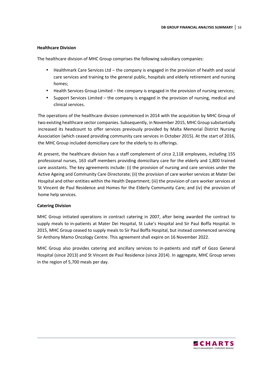#### **Healthcare Division**

The healthcare division of MHC Group comprises the following subsidiary companies:

- Healthmark Care Services Ltd the company is engaged in the provision of health and social care services and training to the general public, hospitals and elderly retirement and nursing homes;
- Health Services Group Limited the company is engaged in the provision of nursing services;
- Support Services Limited the company is engaged in the provision of nursing, medical and clinical services.

The operations of the healthcare division commenced in 2014 with the acquisition by MHC Group of two existing healthcare sector companies. Subsequently, in November 2015, MHC Group substantially increased its headcount to offer services previously provided by Malta Memorial District Nursing Association (which ceased providing community care services in October 2015). At the start of 2016, the MHC Group included domiciliary care for the elderly to its offerings.

At present, the healthcare division has a staff complement of *circa* 2,118 employees, including 155 professional nurses, 163 staff members providing domiciliary care for the elderly and 1,800 trained care assistants. The key agreements include: (i) the provision of nursing and care services under the Active Ageing and Community Care Directorate; (ii) the provision of care worker services at Mater Dei Hospital and other entities within the Health Department; (iii) the provision of care worker services at St Vincent de Paul Residence and Homes for the Elderly Community Care; and (iv) the provision of home help services.

#### **Catering Division**

MHC Group initiated operations in contract catering in 2007, after being awarded the contract to supply meals to in-patients at Mater Dei Hospital, St Luke's Hospital and Sir Paul Boffa Hospital. In 2015, MHC Group ceased to supply meals to Sir Paul Boffa Hospital, but instead commenced servicing Sir Anthony Mamo Oncology Centre. This agreement shall expire on 16 November 2022.

MHC Group also provides catering and ancillary services to in-patients and staff of Gozo General Hospital (since 2013) and St Vincent de Paul Residence (since 2014). In aggregate, MHC Group serves in the region of 5,700 meals per day.

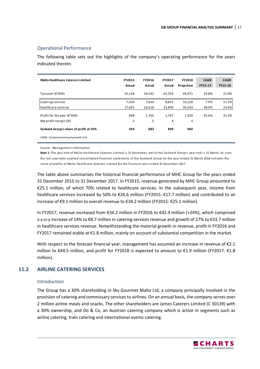#### Operational Performance

The following table sets out the highlights of the company's operating performance for the years indicated therein:

| <b>Malta Healthcare Caterers Limited</b> | FY2015<br>Actual | FY2016<br>Actual | <b>FY2017</b><br>Actual | <b>FY2018</b><br>Projection | <b>CAGR</b><br>FY15-17 | <b>CAGR</b><br>FY15-18 |
|------------------------------------------|------------------|------------------|-------------------------|-----------------------------|------------------------|------------------------|
| Turnover (€'000)                         | 25,128           | 34,242           | 42.354                  | 44.471                      | 29.8%                  | 21.0%                  |
| Catering services                        | 7,436            | 7,624            | 8,655                   | 10,228                      | 7.9%                   | 11.2%                  |
| Healthcare services                      | 17,692           | 26,618           | 33,699                  | 34,243                      | 38.0%                  | 24.6%                  |
| Profit for the year ( $\epsilon$ '000)   | 848              | 1,765            | 1,797                   | 1,920                       | 45.6%                  | 31.3%                  |
| Net profit margin (%)                    | 3                | 5                | 4                       | 4                           |                        |                        |
| Seabank Group's share of profit at 50%   | 424              | 883              | 899                     | 960                         |                        |                        |
| CAGR - Compound annual growth rate.      |                  |                  |                         |                             |                        |                        |

Source: Management information.

Note 1: The year end of Malta Healthcare Caterers Limited is 31 December, whilst the Seabank Group's year end is 31 March. As such, the last avail able audited consoli dated financial statements of the Seabank Group for the year ended 31 March 2018 incl udes the share of profits of Malta Healthcare Caterers Limited for the financial year ended 31 December 2017.

The table above summarises the historical financial performance of MHC Group for the years ended 31 December 2015 to 31 December 2017. In FY2015, revenue generated by MHC Group amounted to €25.1 million, of which 70% related to healthcare services. In the subsequent year, income from healthcare services increased by 50% to €26.6 million (FY2015: €17.7 million) and contributed to an increase of €9.1 million to overall revenue to €34.2 million (FY2015: €25.1 million).

In FY2017, revenue increased from €34.2 million in FY2016 to €42.4 million (+24%), which comprised a y-o-y increase of 14% to €8.7 million in catering services revenue and growth of 27% to €33.7 million in healthcare services revenue. Notwithstanding the material growth in revenue, profit in FY2016 and FY2017 remained stable at €1.8 million, mainly on account of substantial competition in the market.

With respect to the forecast financial year, management has assumed an increase in revenue of €2.1 million to €44.5 million, and profit for FY2018 is expected to amount to €1.9 million (FY2017: €1.8 million).

### **11.2 AIRLINE CATERING SERVICES**

#### Introduction

The Group has a 30% shareholding in Sky Gourmet Malta Ltd, a company principally involved in the provision of catering and commissary services to airlines. On an annual basis, the company serves over 2 million airline meals and snacks. The other shareholders are James Caterers Limited (C 30139) with a 30% ownership, and Do & Co, an Austrian catering company which is active in segments such as airline catering, train catering and international events catering.

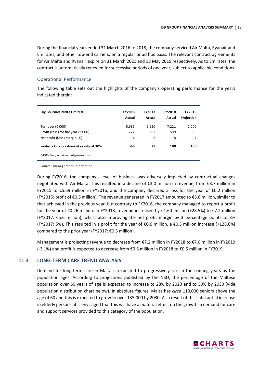During the financial years ended 31 March 2016 to 2018, the company serviced Air Malta, Ryanair and Emirates, and other top-end carriers, on a regular or ad hoc basis. The relevant contract agreements for Air Malta and Ryanair expire on 31 March 2021 and 18 May 2019 respectively. As to Emirates, the contract is automatically renewed for successive periods of one year, subject to applicable conditions.

#### Operational Performance

The following table sets out the highlights of the company's operating performance for the years indicated therein:

| Sky Gourmet Malta Limited                     | <b>FY2016</b><br>Actual | <b>FY2017</b><br>Actual | <b>FY2018</b><br>Actual | <b>FY2019</b><br>Projection |
|-----------------------------------------------|-------------------------|-------------------------|-------------------------|-----------------------------|
| Turnover (€'000)                              | 5,685                   | 5,620                   | 7,221                   | 7,000                       |
| Profit (loss) for the year ( $\epsilon$ '000) | $-227$                  | 262                     | 599                     | 500                         |
| Net profit (loss) margin (%)                  | $-4$                    | 5                       | 8                       | 7                           |
| Seabank Group's share of results at 30%       | -68                     | 79                      | 180                     | 150                         |
| CAGR - Compound annual growth rate.           |                         |                         |                         |                             |

Source: Management information.

During FY2016, the company's level of business was adversely impacted by contractual changes negotiated with Air Malta. This resulted in a decline of €3.0 million in revenue, from €8.7 million in FY2015 to €5.69 million in FY2016, and the company declared a loss for the year of €0.2 million (FY2015: profit of €0.5 million). The revenue generated in FY2017 amounted to €5.6 million, similar to that achieved in the previous year, but contrary to FY2016, the company managed to report a profit for the year of €0.26 million. In FY2018, revenue increased by €1.60 million (+28.5%) to €7.2 million (FY2017: €5.6 million), whilst also improving the net profit margin by 3 percentage points to 8% (FY2017: 5%). This resulted in a profit for the year of  $\epsilon$ 0.6 million, a  $\epsilon$ 0.3 million increase (+128.6%) compared to the prior year (FY2017: €0.3 million).

Management is projecting revenue to decrease from €7.2 million in FY2018 to €7.0 million in FY2019 (-3.1%) and profit is expected to decrease from €0.6 million in FY2018 to €0.5 million in FY2019.

#### **11.3 LONG-TERM CARE TREND ANALYSIS**

Demand for long-term care in Malta is expected to progressively rise in the coming years as the population ages. According to projections published by the NSO, the percentage of the Maltese population over 60 years of age is expected to increase to 28% by 2020 and to 30% by 2030 (vide population distribution chart below). In absolute figures, Malta has *circa* 110,000 seniors above the age of 60 and this is expected to grow to over 135,000 by 2030. As a result of this substantial increase in elderly persons, it is envisaged that this will have a material effect on the growth in demand for care and support services provided to this category of the population.

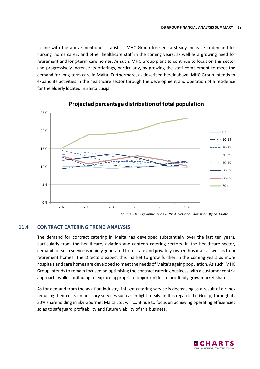In line with the above-mentioned statistics, MHC Group foresees a steady increase in demand for nursing, home carers and other healthcare staff in the coming years, as well as a growing need for retirement and long-term care homes. As such, MHC Group plans to continue to focus on this sector and progressively increase its offerings, particularly, by growing the staff complement to meet the demand for long-term care in Malta. Furthermore, as described hereinabove, MHC Group intends to expand its activities in the healthcare sector through the development and operation of a residence for the elderly located in Santa Lucija.



## **Projected percentage distribution of total population**

### **11.4 CONTRACT CATERING TREND ANALYSIS**

The demand for contract catering in Malta has developed substantially over the last ten years, particularly from the healthcare, aviation and canteen catering sectors. In the healthcare sector, demand for such service is mainly generated from state and privately-owned hospitals as well as from retirement homes. The Directors expect this market to grow further in the coming years as more hospitals and care homes are developed to meet the needs of Malta's ageing population. As such, MHC Group intends to remain focused on optimising the contract catering business with a customer centric approach, while continuing to explore appropriate opportunities to profitably grow market share.

As for demand from the aviation industry, inflight catering service is decreasing as a result of airlines reducing their costs on ancillary services such as inflight meals. In this regard, the Group, through its 30% shareholding in Sky Gourmet Malta Ltd, will continue to focus on achieving operating efficiencies so as to safeguard profitability and future viability of this business.

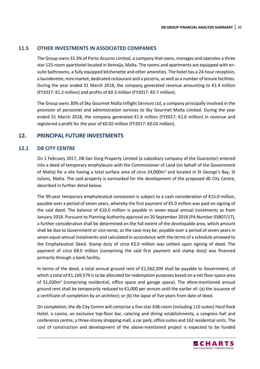### **11.5 OTHER INVESTMENTS IN ASSOCIATED COMPANIES**

The Group owns 33.3% of Porto Azzurro Limited, a company that owns, manages and operates a three star 125-room aparthotel located in Xemxija, Malta. The rooms and apartments are equipped with ensuite bathrooms, a fully equipped kitchenette and other amenities. The hotel has a 24-hour reception, a launderette, mini market, dedicated restaurant and a pizzeria, as well as a number of leisure facilities. During the year ended 31 March 2018, the company generated revenue amounting to  $\epsilon$ 1.4 million (FY2017: €1.2 million) and profits of €0.3 million (FY2017: €0.7 million).

The Group owns 30% of Sky Gourmet Malta Inflight Services Ltd, a company principally involved in the provision of personnel and administration services to Sky Gourmet Malta Limited. During the year ended 31 March 2018, the company generated €1.6 million (FY2017: €1.6 million) in revenue and registered a profit for the year of €0.02 million (FY2017: €0.02 million).

## **12. PRINCIPAL FUTURE INVESTMENTS**

#### **12.1 DB CITY CENTRE**

On 1 February 2017, DB San Gorg Property Limited (a subsidiary company of the Guarantor) entered into a deed of temporary emphyteusis with the Commissioner of Land (on behalf of the Government of Malta) for a site having a total surface area of *circa* 24,000m<sup>2</sup> and located in St George's Bay, St Julians, Malta. The said property is earmarked for the development of the proposed db City Centre, described in further detail below.

The 99-year temporary emphyteutical concession is subject to a cash consideration of €15.0 million, payable over a period of seven years, whereby the first payment of €5.0 million was paid on signing of the said deed. The balance of €10.0 million is payable in seven equal annual instalments as from January 2018. Pursuant to Planning Authority approval on 20 September 2018 (PA Number 03807/17), a further consideration shall be determined on the full extent of the developable area, which amount shall be due to Government or *vice-versa*, as the case may be, payable over a period of seven years in seven equal annual instalments and calculated in accordance with the terms of a schedule annexed to the Emphyteutical Deed. Stamp duty of *circa* €3.0 million was settled upon signing of deed. The payment of *circa* €8.0 million (comprising the said first payment and stamp duty) was financed primarily through a bank facility.

In terms of the deed, a total annual ground rent of €1,562,509 shall be payable to Government, of which a total of €1,169,579 is to be allocated for redemption purposes based on a net floor space area of 51,030m<sup>2</sup> (comprising residential, office space and garage space). The afore-mentioned annual ground rent shall be temporarily reduced to €1,000 per annum until the earlier of: (a) the issuance of a certificate of completion by an architect; or (b) the lapse of five years from date of deed.

On completion, the db City Centre will comprise a five-star 438-room (including 110 suites) Hard Rock Hotel, a casino, an exclusive top-floor bar, catering and dining establishments, a congress hall and conference centre, a three-storey shopping mall, a car park, office suites and 162 residential units. The cost of construction and development of the above-mentioned project is expected to be funded

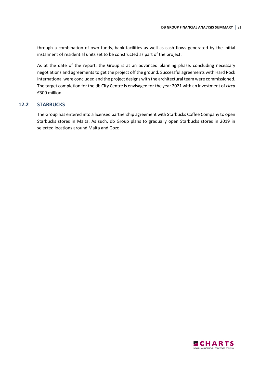through a combination of own funds, bank facilities as well as cash flows generated by the initial instalment of residential units set to be constructed as part of the project.

As at the date of the report, the Group is at an advanced planning phase, concluding necessary negotiations and agreements to get the project off the ground. Successful agreements with Hard Rock International were concluded and the project designs with the architectural team were commissioned. The target completion for the db City Centre is envisaged for the year 2021 with an investment of *circa* €300 million.

#### **12.2 STARBUCKS**

The Group has entered into a licensed partnership agreement with Starbucks Coffee Company to open Starbucks stores in Malta. As such, db Group plans to gradually open Starbucks stores in 2019 in selected locations around Malta and Gozo.

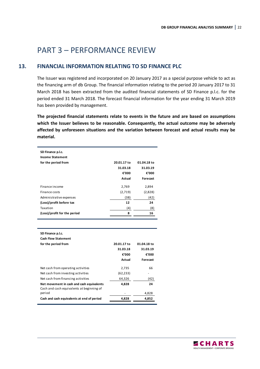## PART 3 – PERFORMANCE REVIEW

## **13. FINANCIAL INFORMATION RELATING TO SD FINANCE PLC**

The Issuer was registered and incorporated on 20 January 2017 as a special purpose vehicle to act as the financing arm of db Group. The financial information relating to the period 20 January 2017 to 31 March 2018 has been extracted from the audited financial statements of SD Finance p.l.c. for the period ended 31 March 2018. The forecast financial information for the year ending 31 March 2019 has been provided by management.

**The projected financial statements relate to events in the future and are based on assumptions which the Issuer believes to be reasonable. Consequently, the actual outcome may be adversely affected by unforeseen situations and the variation between forecast and actual results may be material.**

| SD Finance p.l.c.<br><b>Income Statement</b> |             |             |
|----------------------------------------------|-------------|-------------|
| for the period from                          | 20.01.17 to | 01.04.18 to |
|                                              | 31.03.18    | 31.03.19    |
|                                              | €'000       | €'000       |
|                                              | Actual      | Forecast    |
| Finance income                               | 2,769       | 2,894       |
| Finance costs                                | (2,719)     | (2,828)     |
| Administrative expenses                      | (38)        | (42)        |
| (Loss)/profit before tax                     | 12          | 24          |
| Taxation                                     | (4)         | (8)         |
| (Loss)/profit for the period                 | 8           | 16          |
|                                              |             |             |
|                                              |             |             |

| SD Finance p.l.c.                                                                      |             |             |
|----------------------------------------------------------------------------------------|-------------|-------------|
| <b>Cash Flow Statement</b>                                                             |             |             |
| for the period from                                                                    | 20.01.17 to | 01.04.18 to |
|                                                                                        | 31.03.18    | 31.03.19    |
|                                                                                        | €'000       | €'000       |
|                                                                                        | Actual      | Forecast    |
| Net cash from operating activities                                                     | 2,735       | 66          |
| Net cash from investing activities                                                     | (62, 233)   |             |
| Net cash from financing activities                                                     | 64,326      | (42)        |
| Net movement in cash and cash equivalents<br>Cash and cash equivalents at beginning of | 4,828       | 24          |
| period                                                                                 |             | 4,828       |
| Cash and cash equivalents at end of period                                             | 4.828       | 4.852       |
|                                                                                        |             |             |

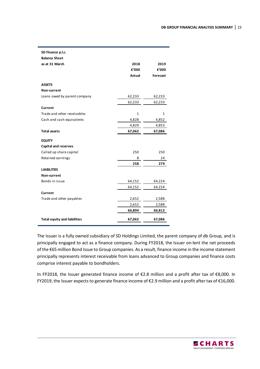| SD Finance p.l.c.                   |        |                 |
|-------------------------------------|--------|-----------------|
| <b>Balance Sheet</b>                |        |                 |
| as at 31 March                      | 2018   | 2019            |
|                                     | €'000  | €'000           |
|                                     | Actual | <b>Forecast</b> |
| <b>ASSETS</b>                       |        |                 |
| Non-current                         |        |                 |
| Loans owed by parent company        | 62,233 | 62,233          |
|                                     | 62,233 | 62,233          |
| Current                             |        |                 |
| Trade and other receivables         | 1      | 1               |
| Cash and cash equivalents           | 4,828  | 4,852           |
|                                     | 4,829  | 4,853           |
| <b>Total assets</b>                 | 67,062 | 67,086          |
| <b>EQUITY</b>                       |        |                 |
| <b>Capital and reserves</b>         |        |                 |
| Called up share capital             | 250    | 250             |
| Retained earnings                   | 8      | 24              |
|                                     | 258    | 274             |
| <b>LIABILITIES</b>                  |        |                 |
| Non-current                         |        |                 |
| Bonds in issue                      | 64,152 | 64,224          |
|                                     | 64,152 | 64,224          |
| Current                             |        |                 |
| Trade and other payables            | 2,652  | 2,588           |
|                                     | 2,652  | 2,588           |
|                                     | 66,804 | 66,812          |
| <b>Total equity and liabilities</b> | 67,062 | 67,086          |

The Issuer is a fully owned subsidiary of SD Holdings Limited, the parent company of db Group, and is principally engaged to act as a finance company. During FY2018, the Issuer on-lent the net proceeds of the €65 million Bond Issue to Group companies. As a result, finance income in the income statement principally represents interest receivable from loans advanced to Group companies and finance costs comprise interest payable to bondholders.

In FP2018, the Issuer generated finance income of €2.8 million and a profit after tax of €8,000. In FY2019, the Issuer expects to generate finance income of €2.9 million and a profit after tax of €16,000.

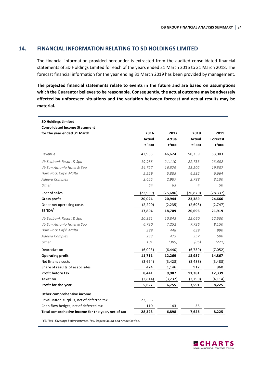## **14. FINANCIAL INFORMATION RELATING TO SD HOLDINGS LIMITED**

The financial information provided hereunder is extracted from the audited consolidated financial statements of SD Holdings Limited for each of the years ended 31 March 2016 to 31 March 2018. The forecast financial information for the year ending 31 March 2019 has been provided by management.

**The projected financial statements relate to events in the future and are based on assumptions which the Guarantor believes to be reasonable. Consequently, the actual outcome may be adversely affected by unforeseen situations and the variation between forecast and actual results may be material.**

| <b>SD Holdings Limited</b>                         |           |               |                |           |
|----------------------------------------------------|-----------|---------------|----------------|-----------|
| <b>Consolidated Income Statement</b>               |           |               |                |           |
| for the year ended 31 March                        | 2016      | 2017          | 2018           | 2019      |
|                                                    | Actual    | <b>Actual</b> | Actual         | Forecast  |
|                                                    | €'000     | €'000         | €'000          | €'000     |
| Revenue                                            | 42,963    | 46,624        | 50,259         | 53,003    |
| db Seabank Resort & Spa                            | 19,988    | 21,110        | 22,733         | 23,602    |
| db San Antonio Hotel & Spa                         | 14,727    | 16,579        | 18,202         | 19,587    |
| Hard Rock Café Malta                               | 5,529     | 5,885         | 6,532          | 6,664     |
| Adeera Complex                                     | 2,655     | 2,987         | 2,788          | 3,100     |
| Other                                              | 64        | 63            | $\overline{4}$ | 50        |
| Cost of sales                                      | (22, 939) | (25,680)      | (26, 870)      | (28, 337) |
| <b>Gross profit</b>                                | 20,024    | 20,944        | 23,389         | 24,666    |
| Other net operating costs                          | (2, 220)  | (2, 235)      | (2,693)        | (2,747)   |
| EBITDA <sup>1</sup>                                | 17,804    | 18,709        | 20,696         | 21,919    |
| db Seabank Resort & Spa                            | 10,351    | 10,843        | 12,060         | 12,500    |
| db San Antonio Hotel & Spa                         | 6,730     | 7,252         | 7,726          | 8,150     |
| Hard Rock Café Malta                               | 389       | 448           | 639            | 990       |
| Adeera Complex                                     | 233       | 475           | 357            | 500       |
| Other                                              | 101       | (309)         | (86)           | (221)     |
| Depreciation                                       | (6,093)   | (6, 440)      | (6, 739)       | (7,052)   |
| <b>Operating profit</b>                            | 11,711    | 12,269        | 13,957         | 14,867    |
| Net finance costs                                  | (3,694)   | (3, 428)      | (3,488)        | (3,488)   |
| Share of results of associates                     | 424       | 1,146         | 912            | 960       |
| Profit before tax                                  | 8,441     | 9,987         | 11,381         | 12,339    |
| Taxation                                           | (2,814)   | (3, 232)      | (3,790)        | (4, 114)  |
| Profit for the year                                | 5,627     | 6,755         | 7,591          | 8,225     |
| Other comprehensive income                         |           |               |                |           |
| Revaluation surplus, net of deferred tax           | 22,586    |               |                |           |
| Cash flow hedges, net of deferred tax              | 110       | 143           | 35             |           |
| Total comprehesive income for the year, net of tax | 28,323    | 6,898         | 7,626          | 8,225     |

*1 EBITDA - Earnings before Interest, Tax, Depreciation and Amortisation.*

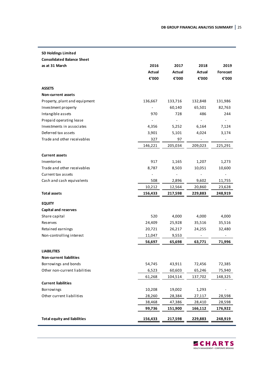| <b>SD Holdings Limited</b>          |               |                          |         |                |
|-------------------------------------|---------------|--------------------------|---------|----------------|
| <b>Consolidated Balance Sheet</b>   |               |                          |         |                |
| as at 31 March                      | 2016          | 2017                     | 2018    | 2019           |
|                                     | <b>Actual</b> | Actual                   | Actual  | Forecast       |
|                                     | €'000         | €'000                    | €'000   | €'000          |
| <b>ASSETS</b>                       |               |                          |         |                |
| Non-current assets                  |               |                          |         |                |
| Property, plant and equipment       | 136,667       | 133,716                  | 132,848 | 131,986        |
| Investment property                 |               | 60,140                   | 65,501  | 82,763         |
| Intangible assets                   | 970           | 728                      | 486     | 244            |
| Prepaid operating lease             |               |                          |         |                |
| Investments in associates           | 4,356         | 5,252                    | 6,164   | 7,124          |
| Deferred tax assets                 | 3,901         | 5,101                    | 4,024   | 3,174          |
| Trade and other receivables         | 327           | 97                       |         |                |
|                                     | 146,221       | 205,034                  | 209,023 | 225,291        |
| <b>Current assets</b>               |               |                          |         |                |
| Inventories                         | 917           | 1,165                    | 1,207   | 1,273          |
| Trade and other receivables         | 8,787         | 8,503                    | 10,051  | 10,600         |
| Current tax assets                  |               | $\overline{\phantom{a}}$ |         | $\overline{a}$ |
| Cash and cash equivalents           | 508           | 2,896                    | 9,602   | 11,755         |
|                                     | 10,212        | 12,564                   | 20,860  | 23,628         |
| Total assets                        | 156,433       | 217,598                  | 229,883 | 248,919        |
| <b>EQUITY</b>                       |               |                          |         |                |
| <b>Capital and reserves</b>         |               |                          |         |                |
| Share capital                       | 520           | 4,000                    | 4,000   | 4,000          |
| Reserves                            | 24,409        | 25,928                   | 35,516  | 35,516         |
| Retained earnings                   | 20,721        | 26,217                   | 24,255  | 32,480         |
| Non-controlling interest            | 11,047        | 9,553                    |         |                |
|                                     | 56,697        | 65,698                   | 63,771  | 71,996         |
| <b>LIABILITIES</b>                  |               |                          |         |                |
| <b>Non-current liabilities</b>      |               |                          |         |                |
| Borrowings and bonds                | 54,745        | 43,911                   | 72,456  | 72,385         |
| Other non-current liabilities       | 6,523         | 60,603                   | 65,246  | 75,940         |
|                                     | 61,268        | 104,514                  | 137,702 | 148,325        |
| <b>Current liabilities</b>          |               |                          |         |                |
| Borrowings                          | 10,208        | 19,002                   | 1,293   |                |
| Other current liabilities           | 28,260        | 28,384                   | 27,117  | 28,598         |
|                                     | 38,468        | 47,386                   | 28,410  | 28,598         |
|                                     | 99,736        | 151,900                  | 166,112 | 176,922        |
| <b>Total equity and liabilities</b> | 156,433       | 217,598                  | 229,883 | 248,919        |

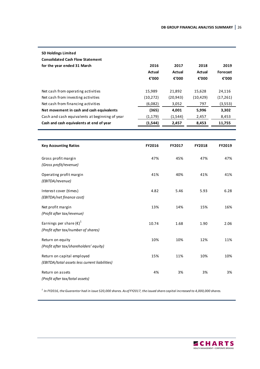| <b>SD Holdings Limited</b><br><b>Consolidated Cash Flow Statement</b> |           |               |           |           |
|-----------------------------------------------------------------------|-----------|---------------|-----------|-----------|
| for the year ended 31 March                                           | 2016      | 2017          | 2018      | 2019      |
|                                                                       | Actual    | <b>Actual</b> | Actual    | Forecast  |
|                                                                       | €'000     | €'000         | €'000     | €'000     |
|                                                                       |           |               |           |           |
| Net cash from operating activities                                    | 15,989    | 21,892        | 15.628    | 24,116    |
| Net cash from investing activities                                    | (10, 272) | (20, 943)     | (10, 429) | (17, 261) |
| Net cash from financing activities                                    | (6,082)   | 3,052         | 797       | (3,553)   |
| Net movement in cash and cash equivalents                             | (365)     | 4,001         | 5,996     | 3,302     |
| Cash and cash equivalents at beginning of year                        | (1, 179)  | (1, 544)      | 2,457     | 8,453     |
| Cash and cash equivalents at end of year                              | (1,544)   | 2,457         | 8,453     | 11,755    |

| <b>Key Accounting Ratios</b>                                                 | <b>FY2016</b> | <b>FY2017</b> | <b>FY2018</b> | <b>FY2019</b> |
|------------------------------------------------------------------------------|---------------|---------------|---------------|---------------|
| Gross profit margin<br>(Gross profit/revenue)                                | 47%           | 45%           | 47%           | 47%           |
| Operating profit margin<br>(EBITDA/revenue)                                  | 41%           | 40%           | 41%           | 41%           |
| Interest cover (times)<br>(EBITDA/net finance cost)                          | 4.82          | 5.46          | 5.93          | 6.28          |
| Net profit margin<br>(Profit after tax/revenue)                              | 13%           | 14%           | 15%           | 16%           |
| Earnings per share $(\epsilon)^1$<br>(Profit after tax/number of shares)     | 10.74         | 1.68          | 1.90          | 2.06          |
| Return on equity<br>(Profit after tax/shareholders' equity)                  | 10%           | 10%           | 12%           | 11%           |
| Return on capital employed<br>(EBITDA/total assets less current liabilities) | 15%           | 11%           | 10%           | 10%           |
| Return on assets<br>(Profit after tax/total assets)                          | 4%            | 3%            | 3%            | 3%            |

*<sup>1</sup>In FY2016, the Guarantor had in issue 520,000 shares. As of FY2017, the issued share capital increased to 4,000,000 shares.*

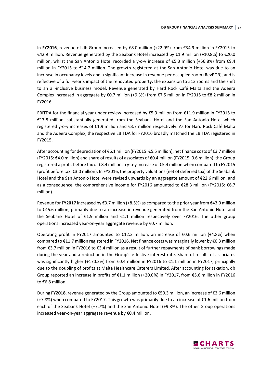In **FY2016**, revenue of db Group increased by €8.0 million (+22.9%) from €34.9 million in FY2015 to €42.9 million. Revenue generated by the Seabank Hotel increased by €1.9 million (+10.8%) to €20.0 million, whilst the San Antonio Hotel recorded a y-o-y increase of €5.3 million (+56.8%) from €9.4 million in FY2015 to €14.7 million. The growth registered at the San Antonio Hotel was due to an increase in occupancy levels and a significant increase in revenue per occupied room (RevPOR), and is reflective of a full-year's impact of the renovated property, the expansion to 513 rooms and the shift to an all-inclusive business model. Revenue generated by Hard Rock Café Malta and the Adeera Complex increased in aggregate by €0.7 million (+9.3%) from €7.5 million in FY2015 to €8.2 million in FY2016.

EBITDA for the financial year under review increased by €5.9 million from €11.9 million in FY2015 to €17.8 million, substantially generated from the Seabank Hotel and the San Antonio Hotel which registered y-o-y increases of €1.9 million and €3.7 million respectively. As for Hard Rock Café Malta and the Adeera Complex, the respective EBITDA for FY2016 broadly matched the EBITDA registered in FY2015.

After accounting for depreciation of €6.1 million (FY2015: €5.5 million), net finance costs of €3.7 million (FY2015: €4.0 million) and share of results of associates of €0.4 million (FY2015: 0.6 million), the Group registered a profit before tax of €8.4 million, a y-o-y increase of €5.4 million when compared to FY2015 (profit before tax: €3.0 million). In FY2016, the property valuations (net of deferred tax) of the Seabank Hotel and the San Antonio Hotel were revised upwards by an aggregate amount of €22.6 million, and as a consequence, the comprehensive income for FY2016 amounted to €28.3 million (FY2015: €6.7 million).

Revenue for **FY2017** increased by €3.7 million (+8.5%) as compared to the prior year from €43.0 million to €46.6 million, primarily due to an increase in revenue generated from the San Antonio Hotel and the Seabank Hotel of €1.9 million and €1.1 million respectively over FY2016. The other group operations increased year-on-year aggregate revenue by €0.7 million.

Operating profit in FY2017 amounted to €12.3 million, an increase of €0.6 million (+4.8%) when compared to €11.7 million registered in FY2016. Net finance costs was marginally lower by €0.3 million from €3.7 million in FY2016 to €3.4 million as a result of further repayments of bank borrowings made during the year and a reduction in the Group's effective interest rate. Share of results of associates was significantly higher (+170.3%) from €0.4 million in FY2016 to €1.1 million in FY2017, principally due to the doubling of profits at Malta Healthcare Caterers Limited. After accounting for taxation, db Group reported an increase in profits of €1.1 million (+20.0%) in FY2017, from €5.6 million in FY2016 to €6.8 million.

During **FY2018**, revenue generated by the Group amounted to €50.3 million, an increase of €3.6 million  $(+7.8%)$  when compared to FY2017. This growth was primarily due to an increase of  $\epsilon$ 1.6 million from each of the Seabank Hotel (+7.7%) and the San Antonio Hotel (+9.8%). The other Group operations increased year-on-year aggregate revenue by €0.4 million.

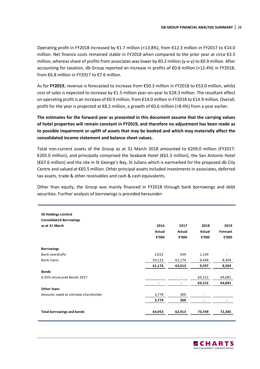Operating profit in FY2018 increased by  $E1.7$  million (+13.8%), from  $E12.3$  million in FY2017 to  $E14.0$ million. Net finance costs remained stable in FY2018 when compared to the prior year at *circa* €3.5 million, whereas share of profits from associates was lower by €0.2 million (y-o-y) to €0.9 million. After accounting for taxation, db Group reported an increase in profits of €0.8 million (+12.4%) in FY2018, from €6.8 million in FY2017 to €7.6 million.

As for **FY2019**, revenue is forecasted to increase from €50.3 million in FY2018 to €53.0 million, whilst cost of sales is expected to increase by €1.5 million year-on-year to €28.3 million. The resultant effect on operating profit is an increase of €0.9 million, from €14.0 million in FY2018 to €14.9 million. Overall, profit for the year is projected at €8.2 million, a growth of €0.6 million (+8.4%) from a year earlier.

**The estimates for the forward year as presented in this document assume that the carrying values of hotel properties will remain constant in FY2019, and therefore no adjustment has been made as to possible impairment or uplift of assets that may be booked and which may materially affect the consolidated income statement and balance sheet values.** 

Total non-current assets of the Group as at 31 March 2018 amounted to €209.0 million (FY2017: €205.0 million), and principally comprised the Seabank Hotel (€61.3 million), the San Antonio Hotel (€67.6 million) and the site in St George's Bay, St Julians which is earmarked for the proposed db City Centre and valued at €65.5 million. Other principal assets included investments in associates, deferred tax assets, trade & other receivables and cash & cash equivalents.

Other than equity, the Group was mainly financed in FY2018 through bank borrowings and debt securities. Further analysis of borrowings is provided hereunder:

| <b>SD Holdings Limited</b>           |        |        |        |          |
|--------------------------------------|--------|--------|--------|----------|
| <b>Consolidated Borrowings</b>       |        |        |        |          |
| as at 31 March                       | 2016   | 2017   | 2018   | 2019     |
|                                      | Actual | Actual | Actual | Forecast |
|                                      |        |        |        |          |
|                                      | €'000  | €'000  | €'000  | €'000    |
| <b>Borrowings</b>                    |        |        |        |          |
| <b>Bank overdrafts</b>               | 2,052  | 439    | 1,149  |          |
| Bank loans                           | 59,122 | 62,174 | 8,448  | 8,304    |
|                                      | 61,174 | 62,613 | 9,597  | 8,304    |
| <b>Bonds</b>                         |        |        |        |          |
| 4.35% Unsecured Bonds 2027           |        |        | 64,152 | 64,081   |
|                                      |        |        | 64,152 | 64,081   |
| <b>Other loans</b>                   |        |        |        |          |
| Amounts owed to ultimate shareholder | 3,779  | 300    |        |          |
|                                      | 3,779  | 300    |        |          |
|                                      |        |        |        |          |
| <b>Total borrowings and bonds</b>    | 64,953 | 62,913 | 73,749 | 72,385   |
|                                      |        |        |        |          |

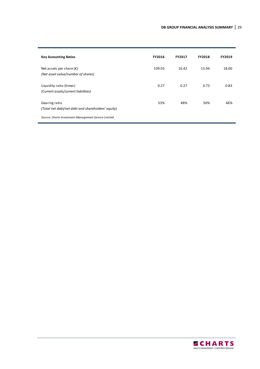| <b>Key Accounting Ratios</b>                                            | <b>FY2016</b> | <b>FY2017</b> | <b>FY2018</b> | <b>FY2019</b> |
|-------------------------------------------------------------------------|---------------|---------------|---------------|---------------|
| Net assets per share $(\epsilon)$<br>(Net asset value/number of shares) | 109.03        | 16.42         | 15.94         | 18.00         |
| Liquidity ratio (times)<br>(Current assets/current liabilities)         | 0.27          | 0.27          | 0.73          | 0.83          |
| Gearing ratio<br>(Total net debt/net debt and shareholders' equity)     | 53%           | 48%           | 50%           | 46%           |
| Source: Charts Investment Management Service Limited                    |               |               |               |               |

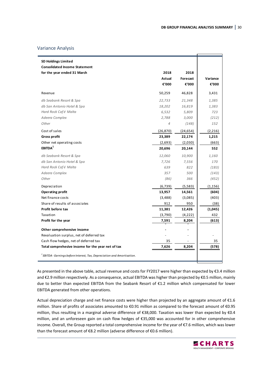#### Variance Analysis

| <b>SD Holdings Limited</b>                                                          |                |          |          |
|-------------------------------------------------------------------------------------|----------------|----------|----------|
| <b>Consolidated Income Statement</b>                                                |                |          |          |
| for the year ended 31 March                                                         | 2018           | 2018     |          |
|                                                                                     | Actual         | Forecast | Variance |
|                                                                                     | €'000          | €'000    | €'000    |
| Revenue                                                                             | 50,259         | 46,828   | 3,431    |
| db Seabank Resort & Spa                                                             | 22,733         | 21,348   | 1,385    |
| db San Antonio Hotel & Spa                                                          | 18,202         | 16,819   | 1,383    |
| Hard Rock Café Malta                                                                | 6,532          | 5,809    | 723      |
| Adeera Complex                                                                      | 2,788          | 3,000    | (212)    |
| Other                                                                               | $\overline{4}$ | (148)    | 152      |
| Cost of sales                                                                       | (26, 870)      | (24,654) | (2,216)  |
| <b>Gross profit</b>                                                                 | 23,389         | 22,174   | 1,215    |
| Other net operating costs                                                           | (2,693)        | (2,030)  | (663)    |
| EBITDA <sup>1</sup>                                                                 | 20,696         | 20,144   | 552      |
| db Seabank Resort & Spa                                                             | 12,060         | 10,900   | 1,160    |
| db San Antonio Hotel & Spa                                                          | 7,726          | 7,556    | 170      |
| Hard Rock Café Malta                                                                | 639            | 822      | (183)    |
| Adeera Complex                                                                      | 357            | 500      | (143)    |
| Other                                                                               | (86)           | 366      | (452)    |
| Depreciation                                                                        | (6, 739)       | (5, 583) | (1, 156) |
| <b>Operating profit</b>                                                             | 13,957         | 14,561   | (604)    |
| Net finance costs                                                                   | (3,488)        | (3,085)  | (403)    |
| Share of results of associates                                                      | 912            | 950      | (38)     |
| Profit before tax                                                                   | 11,381         | 12,426   | (1,045)  |
| Taxation                                                                            | (3,790)        | (4, 222) | 432      |
| Profit for the year                                                                 | 7,591          | 8,204    | (613)    |
| Other comprehensive income                                                          |                |          |          |
| Revaluation surplus, net of deferred tax                                            |                |          |          |
| Cash flow hedges, net of deferred tax                                               | 35             |          | 35       |
| Total comprehesive income for the year net of tax                                   | 7,626          | 8,204    | (578)    |
| <sup>1</sup> EBITDA - Earnings before Interest, Tax, Depreciation and Amortisation. |                |          |          |

As presented in the above table, actual revenue and costs for FY2017 were higher than expected by €3.4 million and €2.9 million respectively. As a consequence, actual EBITDA was higher than projected by €0.5 million, mainly due to better than expected EBITDA from the Seabank Resort of €1.2 million which compensated for lower EBITDA generated from other operations.

Actual depreciation charge and net finance costs were higher than projected by an aggregate amount of €1.6 million. Share of profits of associates amounted to €0.91 million as compared to the forecast amount of €0.95 million, thus resulting in a marginal adverse difference of €38,000. Taxation was lower than expected by €0.4 million, and an unforeseen gain on cash flow hedges of €35,000 was accounted for in other comprehensive income. Overall, the Group reported a total comprehensive income for the year of €7.6 million, which was lower than the forecast amount of €8.2 million (adverse difference of €0.6 million).

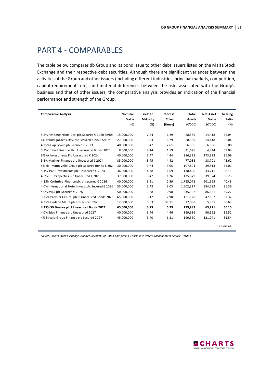## PART 4 - COMPARABLES

The table below compares db Group and its bond issue to other debt issuers listed on the Malta Stock Exchange and their respective debt securities. Although there are significant variances between the activities of the Group and other issuers (including different industries, principal markets, competition, capital requirements etc), and material differences between the risks associated with the Group's business and that of other issuers, the comparative analysis provides an indication of the financial performance and strength of the Group.

| <b>Comparative Analysis</b>                                                                                                                                                                                                                                                                                                                                                                                                                                                                                                                                                                                                                                             | <b>Nominal</b>                                                                                                                                                                                  | Yield to                                                                                                     | Interest                                                                                                                                  | Total                                                                                                                                                | <b>Net Asset</b>                                                                                                                         | Gearing                                                                                                                    |
|-------------------------------------------------------------------------------------------------------------------------------------------------------------------------------------------------------------------------------------------------------------------------------------------------------------------------------------------------------------------------------------------------------------------------------------------------------------------------------------------------------------------------------------------------------------------------------------------------------------------------------------------------------------------------|-------------------------------------------------------------------------------------------------------------------------------------------------------------------------------------------------|--------------------------------------------------------------------------------------------------------------|-------------------------------------------------------------------------------------------------------------------------------------------|------------------------------------------------------------------------------------------------------------------------------------------------------|------------------------------------------------------------------------------------------------------------------------------------------|----------------------------------------------------------------------------------------------------------------------------|
|                                                                                                                                                                                                                                                                                                                                                                                                                                                                                                                                                                                                                                                                         | Value                                                                                                                                                                                           | Maturity                                                                                                     | Cover                                                                                                                                     | Assets                                                                                                                                               | Value                                                                                                                                    | Ratio                                                                                                                      |
|                                                                                                                                                                                                                                                                                                                                                                                                                                                                                                                                                                                                                                                                         | (€)                                                                                                                                                                                             | (%)                                                                                                          | (times)                                                                                                                                   | $(\epsilon'000)$                                                                                                                                     | (E'000)                                                                                                                                  | (%)                                                                                                                        |
| 5.5% Pendergardens Dev. plc Secured € 2020 Series<br>6% Pendergardens Dev. plc Secured € 2022 Series I<br>4.25% Gap Group plc Secured € 2023<br>5.3% United Finance Plc Unsecured € Bonds 2023<br>6% AX Investments Plc Unsecured € 2024<br>5.3% Mariner Finance plc Unsecured € 2024<br>5% Hal Mann Vella Group plc Secured Bonds € 202<br>5.1% 1923 Investments plc Unsecured € 2024<br>4.5% Hili Properties plc Unsecured € 2025<br>4.25% Corinthia Finance plc Unsecured € 2026<br>4.0% International Hotel Invest. plc Secured € 2026<br>4.0% MIDI plc Secured € 2026<br>3.75% Premier Capital plc € Unsecured Bonds 2026<br>4.35% Hudson Malta plc Unsecured 2026 | 15,000,000<br>27,000,000<br>40,000,000<br>8.500.000<br>40,000,000<br>35,000,000<br>30,000,000<br>36,000,000<br>37,000,000<br>40,000,000<br>55,000,000<br>50,000,000<br>65,000,000<br>12,000,000 | 2.44<br>3.23<br>3.47<br>4.14<br>3.47<br>3.45<br>3.74<br>4.38<br>3.47<br>3.51<br>3.43<br>3.28<br>3.12<br>3.63 | 6.29<br>6.29<br>2.61<br>1.19<br>4.44<br>4.42<br>3.05<br>1.69<br>1.26<br>2.59<br>3.03<br>0.98<br>$\overline{\phantom{a}}$<br>7.90<br>39.11 | 68,589<br>68,589<br>56,906<br>21,625<br>286,318<br>77.088<br>107,801<br>118.490<br>135,879<br>1,765,072<br>1,602,317<br>235,302<br>161,128<br>17.088 | 14,418<br>14,418<br>6.696<br>4.844<br>173,323<br>38,701<br>39,813<br>33.711<br>39,974<br>901,595<br>884,632<br>86,621<br>47,607<br>5.835 | 66.04<br>66.04<br>85.08<br>69.04<br>26.09<br>45.62<br>54.01<br>58.11<br>68.23<br>40.43<br>36.36<br>39.27<br>57.32<br>30.63 |
| 4.35% SD Finance plc € Unsecured Bonds 2027                                                                                                                                                                                                                                                                                                                                                                                                                                                                                                                                                                                                                             | 65,000,000                                                                                                                                                                                      | 3.73                                                                                                         | 5.93                                                                                                                                      | 229.882                                                                                                                                              | 63.771                                                                                                                                   | 50.15                                                                                                                      |
| 4.0% Eden Finance plc Unsecured 2027                                                                                                                                                                                                                                                                                                                                                                                                                                                                                                                                                                                                                                    | 40,000,000                                                                                                                                                                                      | 3.46                                                                                                         | 4.46                                                                                                                                      | 169,936                                                                                                                                              | 90,162                                                                                                                                   | 36.52                                                                                                                      |
| 4% Stivala Group Finance plc Secured 2027                                                                                                                                                                                                                                                                                                                                                                                                                                                                                                                                                                                                                               | 45,000,000                                                                                                                                                                                      | 3.40                                                                                                         | 6.21                                                                                                                                      | 199,560                                                                                                                                              | 121,041                                                                                                                                  | 31.54<br>12 Sep '18                                                                                                        |

*Source: Malta Stock Exchange, Audited Accounts of Listed Companies, Charts Investment Management Service Limited*

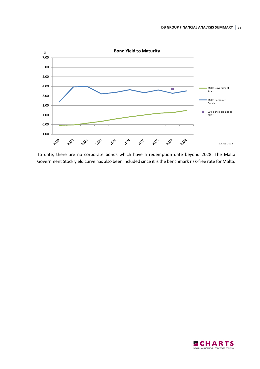

To date, there are no corporate bonds which have a redemption date beyond 2028. The Malta Government Stock yield curve has also been included since it is the benchmark risk-free rate for Malta.

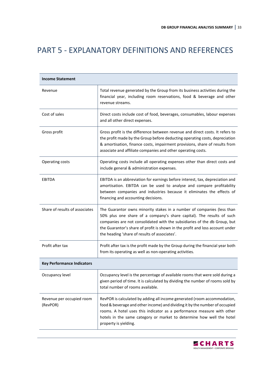## PART 5 - EXPLANATORY DEFINITIONS AND REFERENCES

| <b>Income Statement</b>               |                                                                                                                                                                                                                                                                                                                                                                |
|---------------------------------------|----------------------------------------------------------------------------------------------------------------------------------------------------------------------------------------------------------------------------------------------------------------------------------------------------------------------------------------------------------------|
| Revenue                               | Total revenue generated by the Group from its business activities during the<br>financial year, including room reservations, food & beverage and other<br>revenue streams.                                                                                                                                                                                     |
| Cost of sales                         | Direct costs include cost of food, beverages, consumables, labour expenses<br>and all other direct expenses.                                                                                                                                                                                                                                                   |
| Gross profit                          | Gross profit is the difference between revenue and direct costs. It refers to<br>the profit made by the Group before deducting operating costs, depreciation<br>& amortisation, finance costs, impairment provisions, share of results from<br>associate and affiliate companies and other operating costs.                                                    |
| Operating costs                       | Operating costs include all operating expenses other than direct costs and<br>include general & administration expenses.                                                                                                                                                                                                                                       |
| <b>EBITDA</b>                         | EBITDA is an abbreviation for earnings before interest, tax, depreciation and<br>amortisation. EBITDA can be used to analyse and compare profitability<br>between companies and industries because it eliminates the effects of<br>financing and accounting decisions.                                                                                         |
| Share of results of associates        | The Guarantor owns minority stakes in a number of companies (less than<br>50% plus one share of a company's share capital). The results of such<br>companies are not consolidated with the subsidiaries of the db Group, but<br>the Guarantor's share of profit is shown in the profit and loss account under<br>the heading 'share of results of associates'. |
| Profit after tax                      | Profit after tax is the profit made by the Group during the financial year both<br>from its operating as well as non-operating activities.                                                                                                                                                                                                                     |
| <b>Key Performance Indicators</b>     |                                                                                                                                                                                                                                                                                                                                                                |
| Occupancy level                       | Occupancy level is the percentage of available rooms that were sold during a<br>given period of time. It is calculated by dividing the number of rooms sold by<br>total number of rooms available.                                                                                                                                                             |
| Revenue per occupied room<br>(RevPOR) | RevPOR is calculated by adding all income generated (room accommodation,<br>food & beverage and other income) and dividing it by the number of occupied<br>rooms. A hotel uses this indicator as a performance measure with other<br>hotels in the same category or market to determine how well the hotel<br>property is yielding.                            |

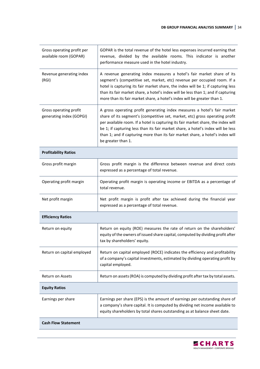| Gross operating profit per<br>available room (GOPAR) | GOPAR is the total revenue of the hotel less expenses incurred earning that<br>revenue, divided by the available rooms. This indicator is another<br>performance measure used in the hotel industry.                                                                                                                                                                                                                                      |
|------------------------------------------------------|-------------------------------------------------------------------------------------------------------------------------------------------------------------------------------------------------------------------------------------------------------------------------------------------------------------------------------------------------------------------------------------------------------------------------------------------|
| Revenue generating index<br>(RGI)                    | A revenue generating index measures a hotel's fair market share of its<br>segment's (competitive set, market, etc) revenue per occupied room. If a<br>hotel is capturing its fair market share, the index will be 1; if capturing less<br>than its fair market share, a hotel's index will be less than 1; and if capturing<br>more than its fair market share, a hotel's index will be greater than 1.                                   |
| Gross operating profit<br>generating index (GOPGI)   | A gross operating profit generating index measures a hotel's fair market<br>share of its segment's (competitive set, market, etc) gross operating profit<br>per available room. If a hotel is capturing its fair market share, the index will<br>be 1; if capturing less than its fair market share, a hotel's index will be less<br>than 1; and if capturing more than its fair market share, a hotel's index will<br>be greater than 1. |
| <b>Profitability Ratios</b>                          |                                                                                                                                                                                                                                                                                                                                                                                                                                           |
| Gross profit margin                                  | Gross profit margin is the difference between revenue and direct costs<br>expressed as a percentage of total revenue.                                                                                                                                                                                                                                                                                                                     |
| Operating profit margin                              | Operating profit margin is operating income or EBITDA as a percentage of<br>total revenue.                                                                                                                                                                                                                                                                                                                                                |
| Net profit margin                                    | Net profit margin is profit after tax achieved during the financial year<br>expressed as a percentage of total revenue.                                                                                                                                                                                                                                                                                                                   |
| <b>Efficiency Ratios</b>                             |                                                                                                                                                                                                                                                                                                                                                                                                                                           |
| Return on equity                                     | Return on equity (ROE) measures the rate of return on the shareholders'<br>equity of the owners of issued share capital, computed by dividing profit after<br>tax by shareholders' equity.                                                                                                                                                                                                                                                |
| Return on capital employed                           | Return on capital employed (ROCE) indicates the efficiency and profitability<br>of a company's capital investments, estimated by dividing operating profit by<br>capital employed.                                                                                                                                                                                                                                                        |
| <b>Return on Assets</b>                              | Return on assets (ROA) is computed by dividing profit after tax by total assets.                                                                                                                                                                                                                                                                                                                                                          |
| <b>Equity Ratios</b>                                 |                                                                                                                                                                                                                                                                                                                                                                                                                                           |
| Earnings per share                                   | Earnings per share (EPS) is the amount of earnings per outstanding share of<br>a company's share capital. It is computed by dividing net income available to<br>equity shareholders by total shares outstanding as at balance sheet date.                                                                                                                                                                                                 |
| <b>Cash Flow Statement</b>                           |                                                                                                                                                                                                                                                                                                                                                                                                                                           |

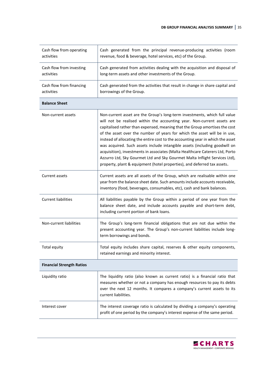| Cash flow from operating<br>activities | Cash generated from the principal revenue-producing activities (room<br>revenue, food & beverage, hotel services, etc) of the Group.                                                                                                                                                                                                                                                                                                                                                                                                                                                                                                                                                                                         |
|----------------------------------------|------------------------------------------------------------------------------------------------------------------------------------------------------------------------------------------------------------------------------------------------------------------------------------------------------------------------------------------------------------------------------------------------------------------------------------------------------------------------------------------------------------------------------------------------------------------------------------------------------------------------------------------------------------------------------------------------------------------------------|
| Cash flow from investing<br>activities | Cash generated from activities dealing with the acquisition and disposal of<br>long-term assets and other investments of the Group.                                                                                                                                                                                                                                                                                                                                                                                                                                                                                                                                                                                          |
| Cash flow from financing<br>activities | Cash generated from the activities that result in change in share capital and<br>borrowings of the Group.                                                                                                                                                                                                                                                                                                                                                                                                                                                                                                                                                                                                                    |
| <b>Balance Sheet</b>                   |                                                                                                                                                                                                                                                                                                                                                                                                                                                                                                                                                                                                                                                                                                                              |
| Non-current assets                     | Non-current asset are the Group's long-term investments, which full value<br>will not be realised within the accounting year. Non-current assets are<br>capitalised rather than expensed, meaning that the Group amortises the cost<br>of the asset over the number of years for which the asset will be in use,<br>instead of allocating the entire cost to the accounting year in which the asset<br>was acquired. Such assets include intangible assets (including goodwill on<br>acquisition), investments in associates (Malta Healthcare Caterers Ltd, Porto<br>Azzurro Ltd, Sky Gourmet Ltd and Sky Gourmet Malta Inflight Services Ltd),<br>property, plant & equipment (hotel properties), and deferred tax assets. |
| Current assets                         | Current assets are all assets of the Group, which are realisable within one<br>year from the balance sheet date. Such amounts include accounts receivable,<br>inventory (food, beverages, consumables, etc), cash and bank balances.                                                                                                                                                                                                                                                                                                                                                                                                                                                                                         |
| <b>Current liabilities</b>             | All liabilities payable by the Group within a period of one year from the<br>balance sheet date, and include accounts payable and short-term debt,<br>including current portion of bank loans.                                                                                                                                                                                                                                                                                                                                                                                                                                                                                                                               |
| Non-current liabilities                | The Group's long-term financial obligations that are not due within the<br>present accounting year. The Group's non-current liabilities include long-<br>term borrowings and bonds.                                                                                                                                                                                                                                                                                                                                                                                                                                                                                                                                          |
| Total equity                           | Total equity includes share capital, reserves & other equity components,<br>retained earnings and minority interest.                                                                                                                                                                                                                                                                                                                                                                                                                                                                                                                                                                                                         |
| <b>Financial Strength Ratios</b>       |                                                                                                                                                                                                                                                                                                                                                                                                                                                                                                                                                                                                                                                                                                                              |
| Liquidity ratio                        | The liquidity ratio (also known as current ratio) is a financial ratio that<br>measures whether or not a company has enough resources to pay its debts<br>over the next 12 months. It compares a company's current assets to its<br>current liabilities.                                                                                                                                                                                                                                                                                                                                                                                                                                                                     |
| Interest cover                         | The interest coverage ratio is calculated by dividing a company's operating<br>profit of one period by the company's interest expense of the same period.                                                                                                                                                                                                                                                                                                                                                                                                                                                                                                                                                                    |